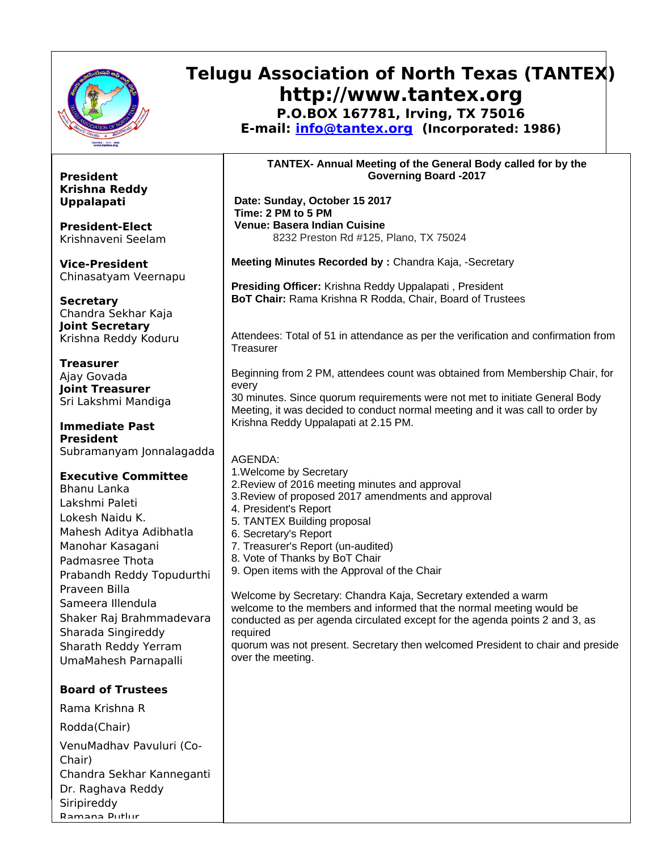

**President Krishna Reddy Uppalapati**

**President-Elect** Krishnaveni Seelam

**Vice-President**

**Secretary**

**Treasurer** Ajay Govada **Joint Treasurer** Sri Lakshmi Mandiga

Chinasatyam Veernapu

Chandra Sekhar Kaja **Joint Secretary** Krishna Reddy Koduru

## **Telugu Association of North Texas (TANTEX) http://www.tantex.org P.O.BOX 167781, Irving, TX 75016**

**E-mail: [info@tantex.org](mailto:info@tantex.org) (Incorporated: 1986)**

**TANTEX- Annual Meeting of the General Body called for by the Governing Board -2017**

 **Date: Sunday, October 15 2017 Time: 2 PM to 5 PM Venue: Basera Indian Cuisine** 8232 Preston Rd #125, Plano, TX 75024

**Meeting Minutes Recorded by :** Chandra Kaja, -Secretary

**Presiding Officer:** Krishna Reddy Uppalapati , President **BoT Chair:** Rama Krishna R Rodda, Chair, Board of Trustees

Attendees: Total of 51 in attendance as per the verification and confirmation from **Treasurer** 

Beginning from 2 PM, attendees count was obtained from Membership Chair, for every

30 minutes. Since quorum requirements were not met to initiate General Body Meeting, it was decided to conduct normal meeting and it was call to order by Krishna Reddy Uppalapati at 2.15 PM.

**Immediate Past President** Subramanyam Jonnalagadda

AGENDA:

**Executive Committee**

Bhanu Lanka Lakshmi Paleti Lokesh Naidu K. Mahesh Aditya Adibhatla Manohar Kasagani Padmasree Thota Prabandh Reddy Topudurthi Praveen Billa Sameera Illendula Shaker Raj Brahmmadevara Sharada Singireddy Sharath Reddy Yerram UmaMahesh Parnapalli

**Board of Trustees**

Rama Krishna R

Rodda(Chair)

Ramana Putlur

VenuMadhav Pavuluri (Co-Chair) Chandra Sekhar Kanneganti Dr. Raghava Reddy Siripireddy

1.Welcome by Secretary 2.Review of 2016 meeting minutes and approval 3.Review of proposed 2017 amendments and approval 4. President's Report 5. TANTEX Building proposal 6. Secretary's Report 7. Treasurer's Report (un-audited) 8. Vote of Thanks by BoT Chair 9. Open items with the Approval of the Chair Welcome by Secretary: Chandra Kaja, Secretary extended a warm welcome to the members and informed that the normal meeting would be conducted as per agenda circulated except for the agenda points 2 and 3, as required quorum was not present. Secretary then welcomed President to chair and preside over the meeting.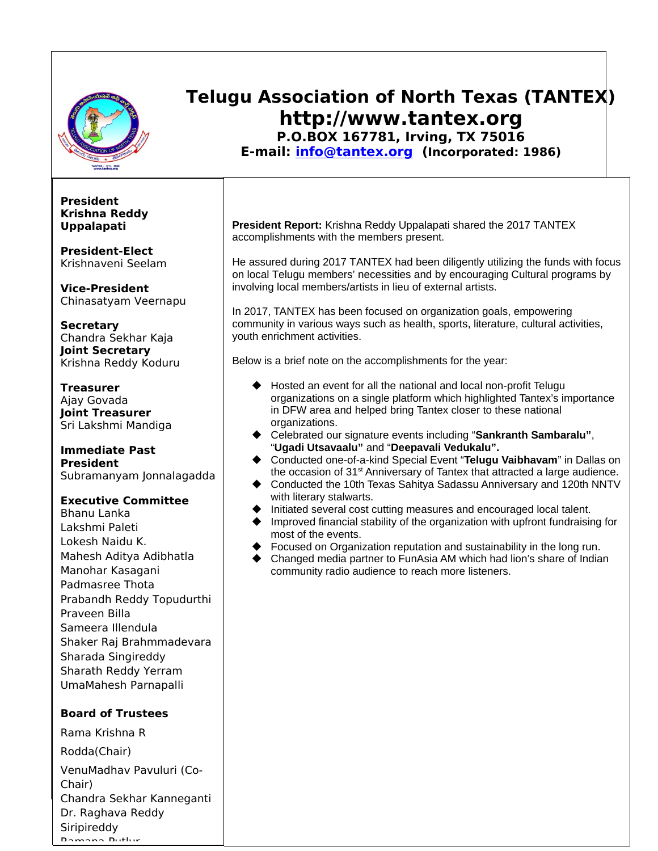

## **Telugu Association of North Texas (TANTEX) http://www.tantex.org P.O.BOX 167781, Irving, TX 75016**

**E-mail: [info@tantex.org](mailto:info@tantex.org) (Incorporated: 1986)**

### **President Krishna Reddy Uppalapati**

**President-Elect** Krishnaveni Seelam

**Vice-President** Chinasatyam Veernapu

**Secretary** Chandra Sekhar Kaja **Joint Secretary** Krishna Reddy Koduru

**Treasurer** Ajay Govada **Joint Treasurer** Sri Lakshmi Mandiga

### **Immediate Past President**

Subramanyam Jonnalagadda

### **Executive Committee**

Bhanu Lanka Lakshmi Paleti Lokesh Naidu K. Mahesh Aditya Adibhatla Manohar Kasagani Padmasree Thota Prabandh Reddy Topudurthi Praveen Billa Sameera Illendula Shaker Raj Brahmmadevara Sharada Singireddy Sharath Reddy Yerram UmaMahesh Parnapalli

### **Board of Trustees**

Rama Krishna R Rodda(Chair) VenuMadhav Pavuluri (Co-Chair) Chandra Sekhar Kanneganti Dr. Raghava Reddy Siripireddy Ramana Putlur

**President Report:** Krishna Reddy Uppalapati shared the 2017 TANTEX accomplishments with the members present.

He assured during 2017 TANTEX had been diligently utilizing the funds with focus on local Telugu members' necessities and by encouraging Cultural programs by involving local members/artists in lieu of external artists.

In 2017, TANTEX has been focused on organization goals, empowering community in various ways such as health, sports, literature, cultural activities, youth enrichment activities.

Below is a brief note on the accomplishments for the year:

- Hosted an event for all the national and local non-profit Telugu organizations on a single platform which highlighted Tantex's importance in DFW area and helped bring Tantex closer to these national organizations.
- Celebrated our signature events including "**Sankranth Sambaralu"**, "**Ugadi Utsavaalu"** and "**Deepavali Vedukalu".**
- ◆ Conducted one-of-a-kind Special Event "**Telugu Vaibhavam**" in Dallas on the occasion of  $31<sup>st</sup>$  Anniversary of Tantex that attracted a large audience.
- ◆ Conducted the 10th Texas Sahitya Sadassu Anniversary and 120th NNTV with literary stalwarts.
- $\blacklozenge$  Initiated several cost cutting measures and encouraged local talent.
- Improved financial stability of the organization with upfront fundraising for most of the events.
- ◆ Focused on Organization reputation and sustainability in the long run.
- ◆ Changed media partner to FunAsia AM which had lion's share of Indian community radio audience to reach more listeners.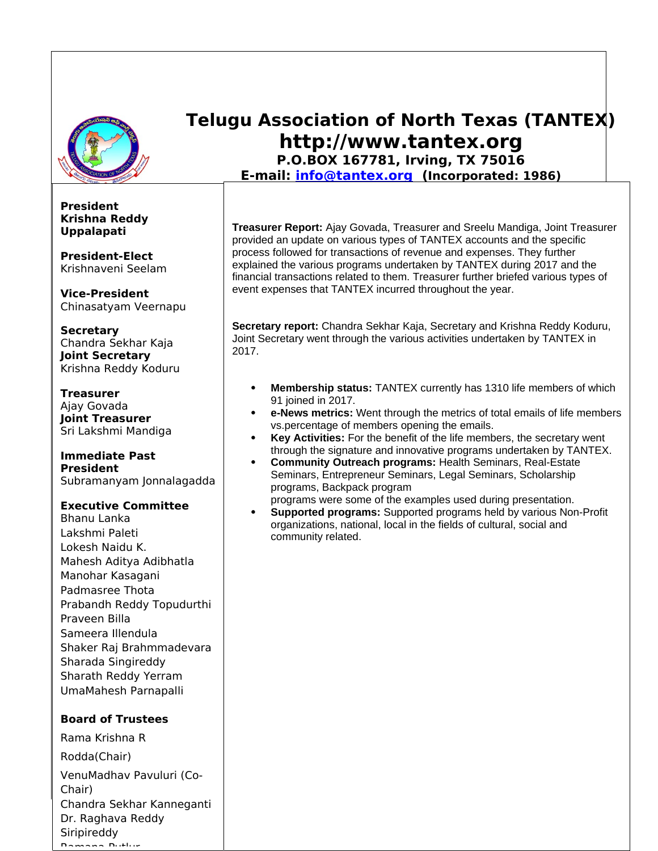

**President Krishna Reddy Uppalapati**

**President-Elect** Krishnaveni Seelam

**Vice-President** Chinasatyam Veernapu

**Secretary** Chandra Sekhar Kaja **Joint Secretary** Krishna Reddy Koduru

**Treasurer** Ajay Govada **Joint Treasurer** Sri Lakshmi Mandiga

#### **Immediate Past President** Subramanyam Jonnalagadda

### **Executive Committee**

Bhanu Lanka Lakshmi Paleti Lokesh Naidu K. Mahesh Aditya Adibhatla Manohar Kasagani Padmasree Thota Prabandh Reddy Topudurthi Praveen Billa Sameera Illendula Shaker Raj Brahmmadevara Sharada Singireddy Sharath Reddy Yerram UmaMahesh Parnapalli

### **Board of Trustees**

Rama Krishna R Rodda(Chair) VenuMadhav Pavuluri (Co-Chair) Chandra Sekhar Kanneganti Dr. Raghava Reddy Siripireddy Ramana Putlur

# **Telugu Association of North Texas (TANTEX) http://www.tantex.org**

**P.O.BOX 167781, Irving, TX 75016 E-mail: [info@tantex.org](mailto:info@tantex.org) (Incorporated: 1986)**

**Treasurer Report:** Ajay Govada, Treasurer and Sreelu Mandiga, Joint Treasurer provided an update on various types of TANTEX accounts and the specific process followed for transactions of revenue and expenses. They further explained the various programs undertaken by TANTEX during 2017 and the financial transactions related to them. Treasurer further briefed various types of event expenses that TANTEX incurred throughout the year.

**Secretary report:** Chandra Sekhar Kaja, Secretary and Krishna Reddy Koduru, Joint Secretary went through the various activities undertaken by TANTEX in 2017.

- **Membership status:** TANTEX currently has 1310 life members of which 91 joined in 2017.
- **e-News metrics:** Went through the metrics of total emails of life members vs.percentage of members opening the emails.
- **Key Activities:** For the benefit of the life members, the secretary went through the signature and innovative programs undertaken by TANTEX.
- **Community Outreach programs:** Health Seminars, Real-Estate Seminars, Entrepreneur Seminars, Legal Seminars, Scholarship programs, Backpack program

programs were some of the examples used during presentation.

 **Supported programs:** Supported programs held by various Non-Profit organizations, national, local in the fields of cultural, social and community related.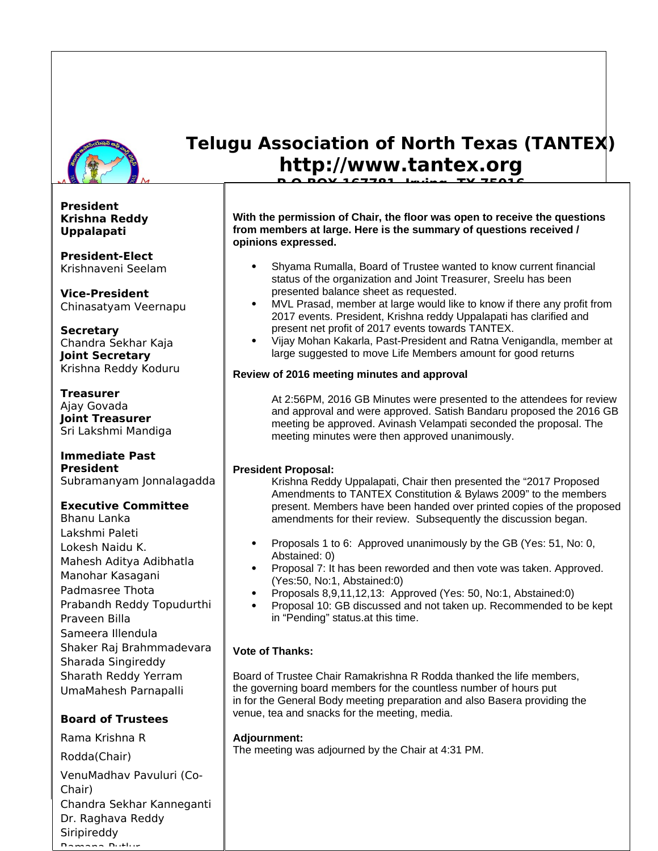

**E-mail: [info@tantex.org](mailto:info@tantex.org) (Incorporated: 1986) President Krishna Reddy Uppalapati**

**President-Elect** Krishnaveni Seelam

**Vice-President** Chinasatyam Veernapu

**Secretary** Chandra Sekhar Kaja **Joint Secretary** Krishna Reddy Koduru

**Treasurer** Ajay Govada **Joint Treasurer** Sri Lakshmi Mandiga

**Immediate Past President** Subramanyam Jonnalagadda

### **Executive Committee**

Bhanu Lanka Lakshmi Paleti Lokesh Naidu K. Mahesh Aditya Adibhatla Manohar Kasagani Padmasree Thota Prabandh Reddy Topudurthi Praveen Billa Sameera Illendula Shaker Raj Brahmmadevara Sharada Singireddy Sharath Reddy Yerram UmaMahesh Parnapalli

### **Board of Trustees**

Rama Krishna R Rodda(Chair) VenuMadhav Pavuluri (Co-Chair) Chandra Sekhar Kanneganti Dr. Raghava Reddy Siripireddy Ramana Putlur

### **Telugu Association of North Texas (TANTEX) http://www.tantex.org P.O.BOX 167781, Irving, TX 75016**

**With the permission of Chair, the floor was open to receive the questions from members at large. Here is the summary of questions received / opinions expressed.**

- Shyama Rumalla, Board of Trustee wanted to know current financial status of the organization and Joint Treasurer, Sreelu has been presented balance sheet as requested.
- MVL Prasad, member at large would like to know if there any profit from 2017 events. President, Krishna reddy Uppalapati has clarified and present net profit of 2017 events towards TANTEX.
- Vijay Mohan Kakarla, Past-President and Ratna Venigandla, member at large suggested to move Life Members amount for good returns

### **Review of 2016 meeting minutes and approval**

At 2:56PM, 2016 GB Minutes were presented to the attendees for review and approval and were approved. Satish Bandaru proposed the 2016 GB meeting be approved. Avinash Velampati seconded the proposal. The meeting minutes were then approved unanimously.

### **President Proposal:**

Krishna Reddy Uppalapati, Chair then presented the "2017 Proposed Amendments to TANTEX Constitution & Bylaws 2009" to the members present. Members have been handed over printed copies of the proposed amendments for their review. Subsequently the discussion began.

- Proposals 1 to 6: Approved unanimously by the GB (Yes: 51, No: 0, Abstained: 0)
- Proposal 7: It has been reworded and then vote was taken. Approved. (Yes:50, No:1, Abstained:0)
- Proposals 8,9,11,12,13: Approved (Yes: 50, No:1, Abstained:0)
- Proposal 10: GB discussed and not taken up. Recommended to be kept in "Pending" status.at this time.

### **Vote of Thanks:**

Board of Trustee Chair Ramakrishna R Rodda thanked the life members, the governing board members for the countless number of hours put in for the General Body meeting preparation and also Basera providing the venue, tea and snacks for the meeting, media.

### **Adjournment:**

The meeting was adjourned by the Chair at 4:31 PM.